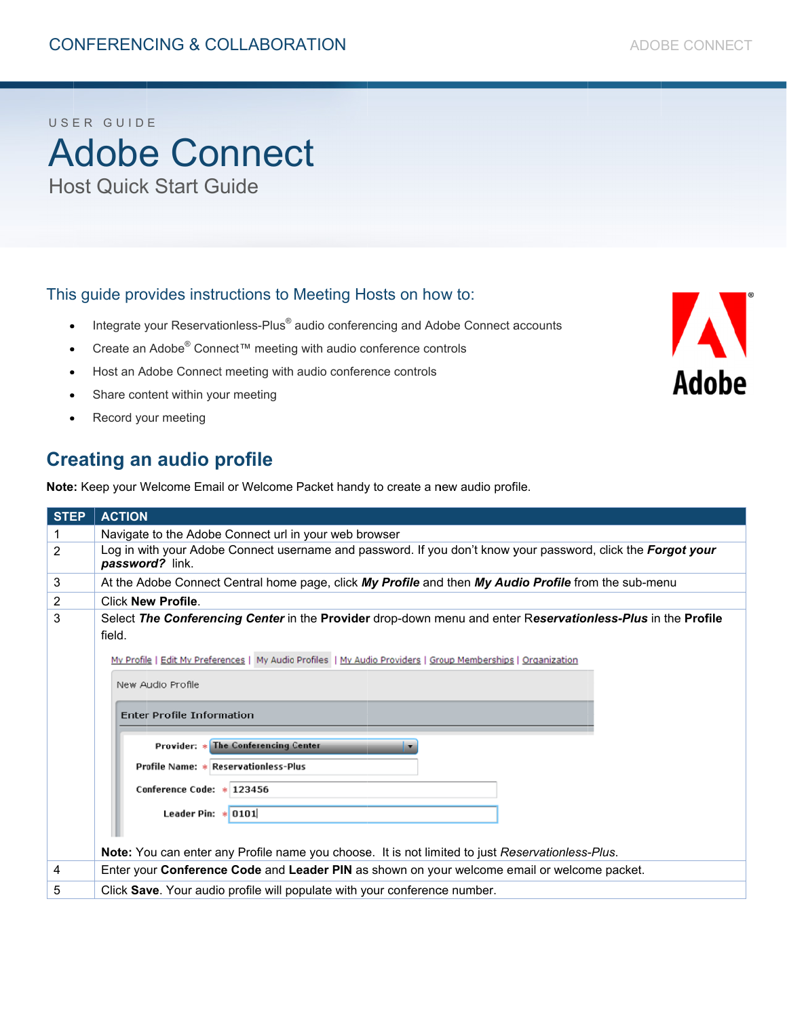#### USER GUIDE

**Adobe Connect Host Quick Start Guide** 

#### This guide provides instructions to Meeting Hosts on how to:

- Integrate your Reservationless-Plus® audio conferencing and Adobe Connect accounts
- Create an Adobe® Connect™ meeting with audio conference controls
- Host an Adobe Connect meeting with audio conference controls
- Share content within your meeting
- Record your meeting

#### **Creating an audio profile**

Note: Keep your Welcome Email or Welcome Packet handy to create a new audio profile.

| <b>STEP</b>    | <b>ACTION</b>                                                                                                                                                                                                                                                                                                                                                                                                                                                                                                                             |  |
|----------------|-------------------------------------------------------------------------------------------------------------------------------------------------------------------------------------------------------------------------------------------------------------------------------------------------------------------------------------------------------------------------------------------------------------------------------------------------------------------------------------------------------------------------------------------|--|
|                | Navigate to the Adobe Connect url in your web browser                                                                                                                                                                                                                                                                                                                                                                                                                                                                                     |  |
| $\overline{2}$ | Log in with your Adobe Connect username and password. If you don't know your password, click the Forgot your<br>password? link.                                                                                                                                                                                                                                                                                                                                                                                                           |  |
| 3              | At the Adobe Connect Central home page, click My Profile and then My Audio Profile from the sub-menu                                                                                                                                                                                                                                                                                                                                                                                                                                      |  |
| 2              | <b>Click New Profile</b>                                                                                                                                                                                                                                                                                                                                                                                                                                                                                                                  |  |
| 3              | Select The Conferencing Center in the Provider drop-down menu and enter Reservationless-Plus in the Profile<br>field.<br>My Profile   Edit My Preferences   My Audio Profiles   My Audio Providers   Group Memberships   Organization<br>New Audio Profile<br><b>Enter Profile Information</b><br>Provider: * The Conferencing Center<br>Profile Name: * Reservationless-Plus<br>Conference Code: * 123456<br>Leader Pin: $\ast$ 0101<br>Note: You can enter any Profile name you choose. It is not limited to just Reservationless-Plus. |  |
| 4              | Enter your Conference Code and Leader PIN as shown on your welcome email or welcome packet.                                                                                                                                                                                                                                                                                                                                                                                                                                               |  |
|                |                                                                                                                                                                                                                                                                                                                                                                                                                                                                                                                                           |  |
| 5              | Click Save. Your audio profile will populate with your conference number.                                                                                                                                                                                                                                                                                                                                                                                                                                                                 |  |

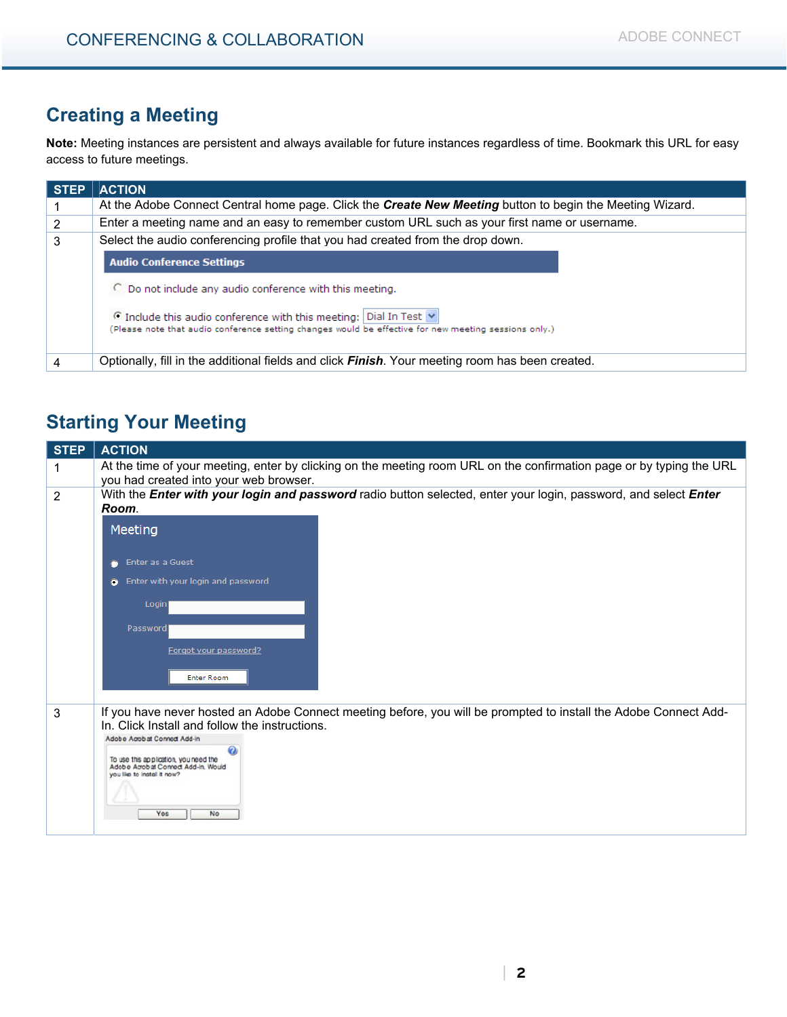### **Creating a Meeting**

**Note:** Meeting instances are persistent and always available for future instances regardless of time. Bookmark this URL for easy access to future meetings.

| <b>STEP</b> | <b>ACTION</b>                                                                                                                                                                         |  |
|-------------|---------------------------------------------------------------------------------------------------------------------------------------------------------------------------------------|--|
|             | At the Adobe Connect Central home page. Click the Create New Meeting button to begin the Meeting Wizard.                                                                              |  |
| 2           | Enter a meeting name and an easy to remember custom URL such as your first name or username.                                                                                          |  |
| 3           | Select the audio conferencing profile that you had created from the drop down.                                                                                                        |  |
|             | <b>Audio Conference Settings</b>                                                                                                                                                      |  |
|             | O Do not include any audio conference with this meeting.                                                                                                                              |  |
|             | $\odot$ Include this audio conference with this meeting: Dial In Test $\vee$<br>(Please note that audio conference setting changes would be effective for new meeting sessions only.) |  |
|             | Optionally, fill in the additional fields and click <b>Finish</b> . Your meeting room has been created.                                                                               |  |

### **Starting Your Meeting**

| <b>STEP</b> | <b>ACTION</b>                                                                                                                                                                                      |
|-------------|----------------------------------------------------------------------------------------------------------------------------------------------------------------------------------------------------|
| 1           | At the time of your meeting, enter by clicking on the meeting room URL on the confirmation page or by typing the URL<br>you had created into your web browser.                                     |
| 2           | With the <i>Enter with your login and password</i> radio button selected, enter your login, password, and select <i>Enter</i><br>Room.                                                             |
|             | Meeting                                                                                                                                                                                            |
|             | Enter as a Guest                                                                                                                                                                                   |
|             | Enter with your login and password<br>$\bullet$                                                                                                                                                    |
|             | Login                                                                                                                                                                                              |
|             | Password                                                                                                                                                                                           |
|             | Forgot your password?                                                                                                                                                                              |
|             | <b>Enter Room</b>                                                                                                                                                                                  |
| 3           | If you have never hosted an Adobe Connect meeting before, you will be prompted to install the Adobe Connect Add-<br>In. Click Install and follow the instructions.<br>Adobe Acrobat Connect Add-in |
|             | To use this application, you need the<br>Adobe Acrobat Connect Add-in. Would<br>you like to install it now?                                                                                        |
|             | <b>No</b><br>Yes                                                                                                                                                                                   |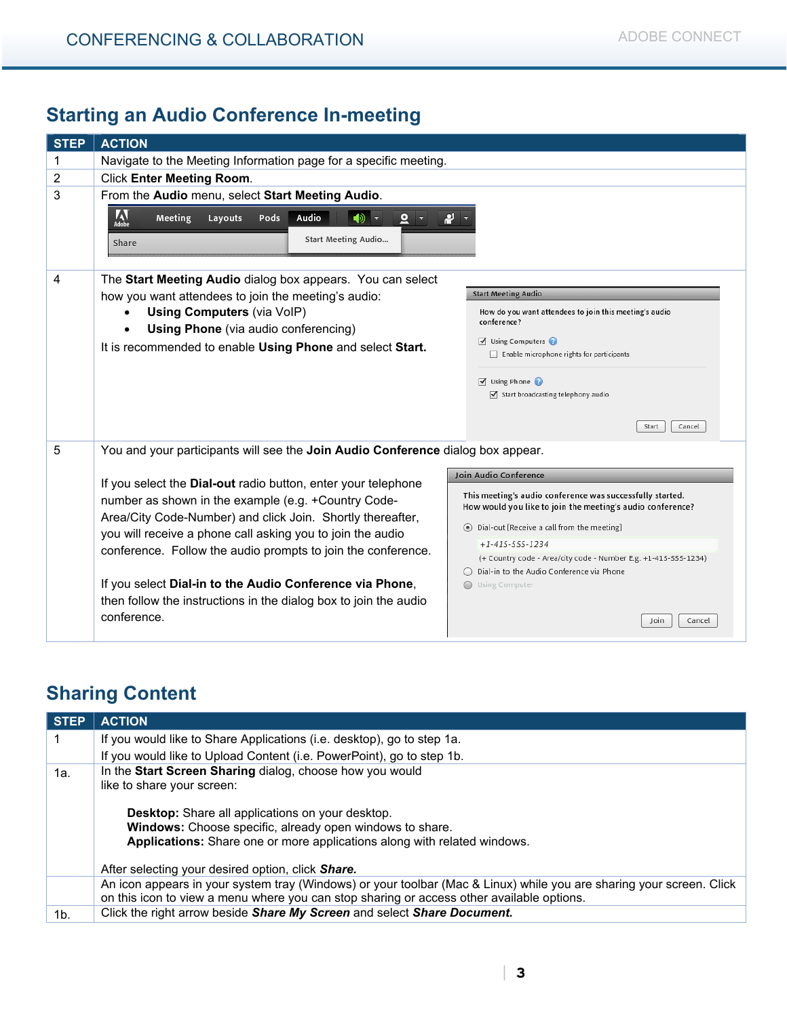## **Starting an Audio Conference In-meeting**

| <b>STEP</b> | <b>ACTION</b>                                                                                                                                                                                                                                                                                                    |                                                                                                                                                                                                                           |
|-------------|------------------------------------------------------------------------------------------------------------------------------------------------------------------------------------------------------------------------------------------------------------------------------------------------------------------|---------------------------------------------------------------------------------------------------------------------------------------------------------------------------------------------------------------------------|
| 1           | Navigate to the Meeting Information page for a specific meeting.                                                                                                                                                                                                                                                 |                                                                                                                                                                                                                           |
| 2           | <b>Click Enter Meeting Room.</b>                                                                                                                                                                                                                                                                                 |                                                                                                                                                                                                                           |
| 3           | From the Audio menu, select Start Meeting Audio.                                                                                                                                                                                                                                                                 |                                                                                                                                                                                                                           |
|             | <b>AN</b><br>Adobe<br>Audio<br>Meeting<br>Layouts<br>Pods<br>ৰঠী<br>₫<br>Start Meeting Audio<br>Share                                                                                                                                                                                                            | р                                                                                                                                                                                                                         |
| 4           | The Start Meeting Audio dialog box appears. You can select                                                                                                                                                                                                                                                       |                                                                                                                                                                                                                           |
|             | how you want attendees to join the meeting's audio:                                                                                                                                                                                                                                                              | <b>Start Meeting Audio</b>                                                                                                                                                                                                |
|             | <b>Using Computers (via VolP)</b><br><b>Using Phone</b> (via audio conferencing)                                                                                                                                                                                                                                 | How do you want attendees to join this meeting's audio<br>conference?                                                                                                                                                     |
|             | It is recommended to enable Using Phone and select Start.                                                                                                                                                                                                                                                        | Using Computers                                                                                                                                                                                                           |
|             |                                                                                                                                                                                                                                                                                                                  | Enable microphone rights for participants                                                                                                                                                                                 |
|             |                                                                                                                                                                                                                                                                                                                  | $\triangledown$ Using Phone                                                                                                                                                                                               |
|             |                                                                                                                                                                                                                                                                                                                  | Start broadcasting telephony audio                                                                                                                                                                                        |
|             |                                                                                                                                                                                                                                                                                                                  | Start<br>Cancel                                                                                                                                                                                                           |
| 5           | You and your participants will see the Join Audio Conference dialog box appear.                                                                                                                                                                                                                                  |                                                                                                                                                                                                                           |
|             | If you select the Dial-out radio button, enter your telephone<br>number as shown in the example (e.g. +Country Code-<br>Area/City Code-Number) and click Join. Shortly thereafter,<br>you will receive a phone call asking you to join the audio<br>conference. Follow the audio prompts to join the conference. | Join Audio Conference<br>This meeting's audio conference was successfully started.<br>How would you like to join the meeting's audio conference?<br>Dial-out [Receive a call from the meeting]<br>$+1 - 415 - 555 - 1234$ |
|             |                                                                                                                                                                                                                                                                                                                  | (+ Country code - Area/city code - Number E.g. +1-415-555-1234)                                                                                                                                                           |
|             | If you select Dial-in to the Audio Conference via Phone,<br>then follow the instructions in the dialog box to join the audio                                                                                                                                                                                     | Dial-in to the Audio Conference via Phone<br>Using Computer                                                                                                                                                               |
|             | conference.                                                                                                                                                                                                                                                                                                      | Join<br>Cancel                                                                                                                                                                                                            |

# **Sharing Content**

| <b>STEP</b>                                                     | <b>ACTION</b>                                                                                                                                                                                                     |
|-----------------------------------------------------------------|-------------------------------------------------------------------------------------------------------------------------------------------------------------------------------------------------------------------|
|                                                                 | If you would like to Share Applications (i.e. desktop), go to step 1a.                                                                                                                                            |
|                                                                 | If you would like to Upload Content (i.e. PowerPoint), go to step 1b.                                                                                                                                             |
| In the Start Screen Sharing dialog, choose how you would<br>1a. |                                                                                                                                                                                                                   |
|                                                                 | like to share your screen:                                                                                                                                                                                        |
|                                                                 | <b>Desktop:</b> Share all applications on your desktop.<br>Windows: Choose specific, already open windows to share.<br>Applications: Share one or more applications along with related windows.                   |
|                                                                 | After selecting your desired option, click Share.                                                                                                                                                                 |
|                                                                 | An icon appears in your system tray (Windows) or your toolbar (Mac & Linux) while you are sharing your screen. Click<br>on this icon to view a menu where you can stop sharing or access other available options. |
| 1 <sub>b</sub>                                                  | Click the right arrow beside Share My Screen and select Share Document.                                                                                                                                           |